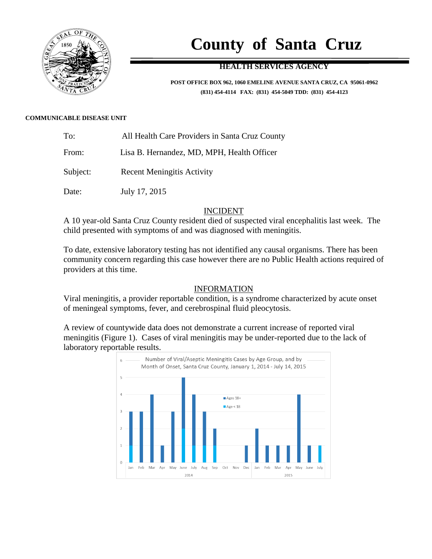

# **County of Santa Cruz**

## **HEALTH SERVICES AGENCY**

**POST OFFICE BOX 962, 1060 EMELINE AVENUE SANTA CRUZ, CA 95061-0962 (831) 454-4114 FAX: (831) 454-5049 TDD: (831) 454-4123**

#### **COMMUNICABLE DISEASE UNIT**

| To: | All Health Care Providers in Santa Cruz County |
|-----|------------------------------------------------|
|     |                                                |

From: Lisa B. Hernandez, MD, MPH, Health Officer

Subject: Recent Meningitis Activity

Date: July 17, 2015

#### INCIDENT

A 10 year-old Santa Cruz County resident died of suspected viral encephalitis last week. The child presented with symptoms of and was diagnosed with meningitis.

To date, extensive laboratory testing has not identified any causal organisms. There has been community concern regarding this case however there are no Public Health actions required of providers at this time.

### INFORMATION

Viral meningitis, a provider reportable condition, is a syndrome characterized by acute onset of meningeal symptoms, fever, and cerebrospinal fluid pleocytosis.

A review of countywide data does not demonstrate a current increase of reported viral meningitis (Figure 1). Cases of viral meningitis may be under-reported due to the lack of laboratory reportable results.